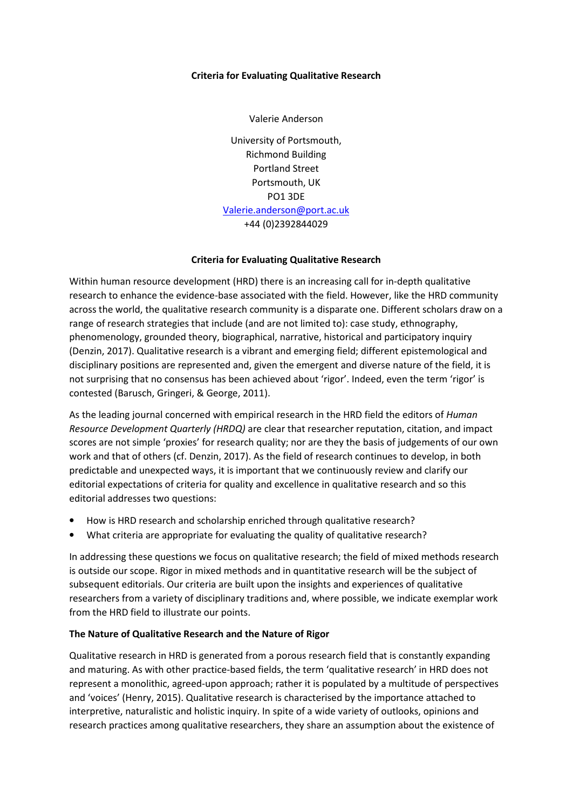# **Criteria for Evaluating Qualitative Research**

Valerie Anderson

University of Portsmouth, Richmond Building Portland Street Portsmouth, UK PO1 3DE Valerie.anderson@port.ac.uk +44 (0)2392844029

### **Criteria for Evaluating Qualitative Research**

Within human resource development (HRD) there is an increasing call for in-depth qualitative research to enhance the evidence-base associated with the field. However, like the HRD community across the world, the qualitative research community is a disparate one. Different scholars draw on a range of research strategies that include (and are not limited to): case study, ethnography, phenomenology, grounded theory, biographical, narrative, historical and participatory inquiry (Denzin, 2017). Qualitative research is a vibrant and emerging field; different epistemological and disciplinary positions are represented and, given the emergent and diverse nature of the field, it is not surprising that no consensus has been achieved about 'rigor'. Indeed, even the term 'rigor' is contested (Barusch, Gringeri, & George, 2011).

As the leading journal concerned with empirical research in the HRD field the editors of *Human Resource Development Quarterly (HRDQ)* are clear that researcher reputation, citation, and impact scores are not simple 'proxies' for research quality; nor are they the basis of judgements of our own work and that of others (cf. Denzin, 2017). As the field of research continues to develop, in both predictable and unexpected ways, it is important that we continuously review and clarify our editorial expectations of criteria for quality and excellence in qualitative research and so this editorial addresses two questions:

- How is HRD research and scholarship enriched through qualitative research?
- What criteria are appropriate for evaluating the quality of qualitative research?

In addressing these questions we focus on qualitative research; the field of mixed methods research is outside our scope. Rigor in mixed methods and in quantitative research will be the subject of subsequent editorials. Our criteria are built upon the insights and experiences of qualitative researchers from a variety of disciplinary traditions and, where possible, we indicate exemplar work from the HRD field to illustrate our points.

# **The Nature of Qualitative Research and the Nature of Rigor**

Qualitative research in HRD is generated from a porous research field that is constantly expanding and maturing. As with other practice-based fields, the term 'qualitative research' in HRD does not represent a monolithic, agreed-upon approach; rather it is populated by a multitude of perspectives and 'voices' (Henry, 2015). Qualitative research is characterised by the importance attached to interpretive, naturalistic and holistic inquiry. In spite of a wide variety of outlooks, opinions and research practices among qualitative researchers, they share an assumption about the existence of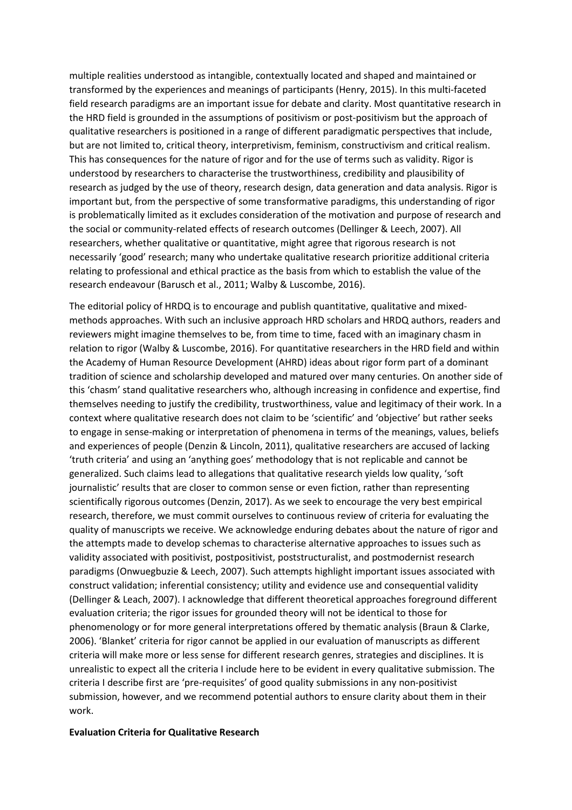multiple realities understood as intangible, contextually located and shaped and maintained or transformed by the experiences and meanings of participants (Henry, 2015). In this multi-faceted field research paradigms are an important issue for debate and clarity. Most quantitative research in the HRD field is grounded in the assumptions of positivism or post-positivism but the approach of qualitative researchers is positioned in a range of different paradigmatic perspectives that include, but are not limited to, critical theory, interpretivism, feminism, constructivism and critical realism. This has consequences for the nature of rigor and for the use of terms such as validity. Rigor is understood by researchers to characterise the trustworthiness, credibility and plausibility of research as judged by the use of theory, research design, data generation and data analysis. Rigor is important but, from the perspective of some transformative paradigms, this understanding of rigor is problematically limited as it excludes consideration of the motivation and purpose of research and the social or community-related effects of research outcomes (Dellinger & Leech, 2007). All researchers, whether qualitative or quantitative, might agree that rigorous research is not necessarily 'good' research; many who undertake qualitative research prioritize additional criteria relating to professional and ethical practice as the basis from which to establish the value of the research endeavour (Barusch et al., 2011; Walby & Luscombe, 2016).

The editorial policy of HRDQ is to encourage and publish quantitative, qualitative and mixedmethods approaches. With such an inclusive approach HRD scholars and HRDQ authors, readers and reviewers might imagine themselves to be, from time to time, faced with an imaginary chasm in relation to rigor (Walby & Luscombe, 2016). For quantitative researchers in the HRD field and within the Academy of Human Resource Development (AHRD) ideas about rigor form part of a dominant tradition of science and scholarship developed and matured over many centuries. On another side of this 'chasm' stand qualitative researchers who, although increasing in confidence and expertise, find themselves needing to justify the credibility, trustworthiness, value and legitimacy of their work. In a context where qualitative research does not claim to be 'scientific' and 'objective' but rather seeks to engage in sense-making or interpretation of phenomena in terms of the meanings, values, beliefs and experiences of people (Denzin & Lincoln, 2011), qualitative researchers are accused of lacking 'truth criteria' and using an 'anything goes' methodology that is not replicable and cannot be generalized. Such claims lead to allegations that qualitative research yields low quality, 'soft journalistic' results that are closer to common sense or even fiction, rather than representing scientifically rigorous outcomes (Denzin, 2017). As we seek to encourage the very best empirical research, therefore, we must commit ourselves to continuous review of criteria for evaluating the quality of manuscripts we receive. We acknowledge enduring debates about the nature of rigor and the attempts made to develop schemas to characterise alternative approaches to issues such as validity associated with positivist, postpositivist, poststructuralist, and postmodernist research paradigms (Onwuegbuzie & Leech, 2007). Such attempts highlight important issues associated with construct validation; inferential consistency; utility and evidence use and consequential validity (Dellinger & Leach, 2007). I acknowledge that different theoretical approaches foreground different evaluation criteria; the rigor issues for grounded theory will not be identical to those for phenomenology or for more general interpretations offered by thematic analysis (Braun & Clarke, 2006). 'Blanket' criteria for rigor cannot be applied in our evaluation of manuscripts as different criteria will make more or less sense for different research genres, strategies and disciplines. It is unrealistic to expect all the criteria I include here to be evident in every qualitative submission. The criteria I describe first are 'pre-requisites' of good quality submissions in any non-positivist submission, however, and we recommend potential authors to ensure clarity about them in their work.

#### **Evaluation Criteria for Qualitative Research**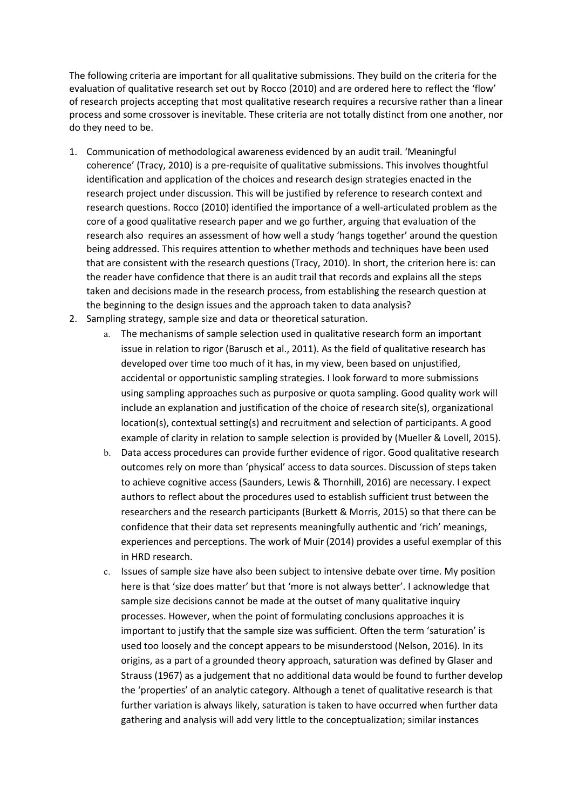The following criteria are important for all qualitative submissions. They build on the criteria for the evaluation of qualitative research set out by Rocco (2010) and are ordered here to reflect the 'flow' of research projects accepting that most qualitative research requires a recursive rather than a linear process and some crossover is inevitable. These criteria are not totally distinct from one another, nor do they need to be.

- 1. Communication of methodological awareness evidenced by an audit trail. 'Meaningful coherence' (Tracy, 2010) is a pre-requisite of qualitative submissions. This involves thoughtful identification and application of the choices and research design strategies enacted in the research project under discussion. This will be justified by reference to research context and research questions. Rocco (2010) identified the importance of a well-articulated problem as the core of a good qualitative research paper and we go further, arguing that evaluation of the research also requires an assessment of how well a study 'hangs together' around the question being addressed. This requires attention to whether methods and techniques have been used that are consistent with the research questions (Tracy, 2010). In short, the criterion here is: can the reader have confidence that there is an audit trail that records and explains all the steps taken and decisions made in the research process, from establishing the research question at the beginning to the design issues and the approach taken to data analysis?
- 2. Sampling strategy, sample size and data or theoretical saturation.
	- a. The mechanisms of sample selection used in qualitative research form an important issue in relation to rigor (Barusch et al., 2011). As the field of qualitative research has developed over time too much of it has, in my view, been based on unjustified, accidental or opportunistic sampling strategies. I look forward to more submissions using sampling approaches such as purposive or quota sampling. Good quality work will include an explanation and justification of the choice of research site(s), organizational location(s), contextual setting(s) and recruitment and selection of participants. A good example of clarity in relation to sample selection is provided by (Mueller & Lovell, 2015).
	- b. Data access procedures can provide further evidence of rigor. Good qualitative research outcomes rely on more than 'physical' access to data sources. Discussion of steps taken to achieve cognitive access (Saunders, Lewis & Thornhill, 2016) are necessary. I expect authors to reflect about the procedures used to establish sufficient trust between the researchers and the research participants (Burkett & Morris, 2015) so that there can be confidence that their data set represents meaningfully authentic and 'rich' meanings, experiences and perceptions. The work of Muir (2014) provides a useful exemplar of this in HRD research.
	- c. Issues of sample size have also been subject to intensive debate over time. My position here is that 'size does matter' but that 'more is not always better'. I acknowledge that sample size decisions cannot be made at the outset of many qualitative inquiry processes. However, when the point of formulating conclusions approaches it is important to justify that the sample size was sufficient. Often the term 'saturation' is used too loosely and the concept appears to be misunderstood (Nelson, 2016). In its origins, as a part of a grounded theory approach, saturation was defined by Glaser and Strauss (1967) as a judgement that no additional data would be found to further develop the 'properties' of an analytic category. Although a tenet of qualitative research is that further variation is always likely, saturation is taken to have occurred when further data gathering and analysis will add very little to the conceptualization; similar instances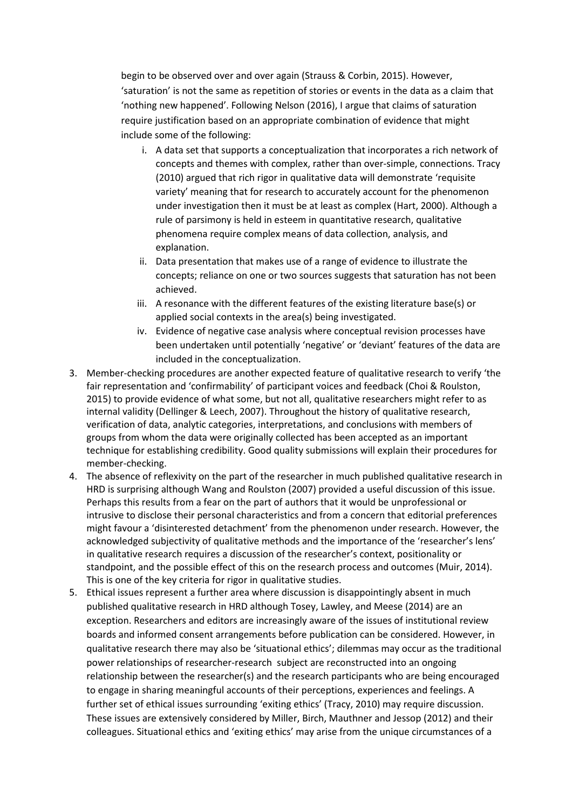begin to be observed over and over again (Strauss & Corbin, 2015). However, 'saturation' is not the same as repetition of stories or events in the data as a claim that 'nothing new happened'. Following Nelson (2016), I argue that claims of saturation require justification based on an appropriate combination of evidence that might include some of the following:

- i. A data set that supports a conceptualization that incorporates a rich network of concepts and themes with complex, rather than over-simple, connections. Tracy (2010) argued that rich rigor in qualitative data will demonstrate 'requisite variety' meaning that for research to accurately account for the phenomenon under investigation then it must be at least as complex (Hart, 2000). Although a rule of parsimony is held in esteem in quantitative research, qualitative phenomena require complex means of data collection, analysis, and explanation.
- ii. Data presentation that makes use of a range of evidence to illustrate the concepts; reliance on one or two sources suggests that saturation has not been achieved.
- iii. A resonance with the different features of the existing literature base(s) or applied social contexts in the area(s) being investigated.
- iv. Evidence of negative case analysis where conceptual revision processes have been undertaken until potentially 'negative' or 'deviant' features of the data are included in the conceptualization.
- 3. Member-checking procedures are another expected feature of qualitative research to verify 'the fair representation and 'confirmability' of participant voices and feedback (Choi & Roulston, 2015) to provide evidence of what some, but not all, qualitative researchers might refer to as internal validity (Dellinger & Leech, 2007). Throughout the history of qualitative research, verification of data, analytic categories, interpretations, and conclusions with members of groups from whom the data were originally collected has been accepted as an important technique for establishing credibility. Good quality submissions will explain their procedures for member-checking.
- 4. The absence of reflexivity on the part of the researcher in much published qualitative research in HRD is surprising although Wang and Roulston (2007) provided a useful discussion of this issue. Perhaps this results from a fear on the part of authors that it would be unprofessional or intrusive to disclose their personal characteristics and from a concern that editorial preferences might favour a 'disinterested detachment' from the phenomenon under research. However, the acknowledged subjectivity of qualitative methods and the importance of the 'researcher's lens' in qualitative research requires a discussion of the researcher's context, positionality or standpoint, and the possible effect of this on the research process and outcomes (Muir, 2014). This is one of the key criteria for rigor in qualitative studies.
- 5. Ethical issues represent a further area where discussion is disappointingly absent in much published qualitative research in HRD although Tosey, Lawley, and Meese (2014) are an exception. Researchers and editors are increasingly aware of the issues of institutional review boards and informed consent arrangements before publication can be considered. However, in qualitative research there may also be 'situational ethics'; dilemmas may occur as the traditional power relationships of researcher-research subject are reconstructed into an ongoing relationship between the researcher(s) and the research participants who are being encouraged to engage in sharing meaningful accounts of their perceptions, experiences and feelings. A further set of ethical issues surrounding 'exiting ethics' (Tracy, 2010) may require discussion. These issues are extensively considered by Miller, Birch, Mauthner and Jessop (2012) and their colleagues. Situational ethics and 'exiting ethics' may arise from the unique circumstances of a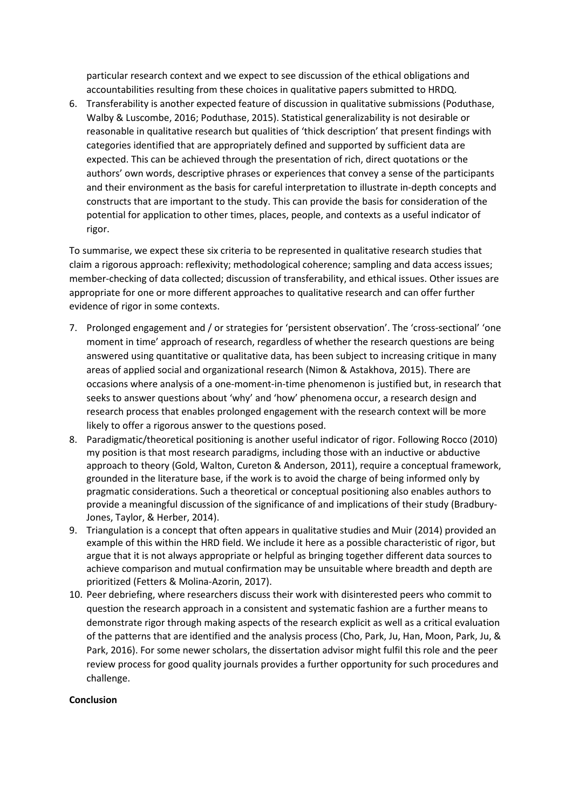particular research context and we expect to see discussion of the ethical obligations and accountabilities resulting from these choices in qualitative papers submitted to HRDQ.

6. Transferability is another expected feature of discussion in qualitative submissions (Poduthase, Walby & Luscombe, 2016; Poduthase, 2015). Statistical generalizability is not desirable or reasonable in qualitative research but qualities of 'thick description' that present findings with categories identified that are appropriately defined and supported by sufficient data are expected. This can be achieved through the presentation of rich, direct quotations or the authors' own words, descriptive phrases or experiences that convey a sense of the participants and their environment as the basis for careful interpretation to illustrate in-depth concepts and constructs that are important to the study. This can provide the basis for consideration of the potential for application to other times, places, people, and contexts as a useful indicator of rigor.

To summarise, we expect these six criteria to be represented in qualitative research studies that claim a rigorous approach: reflexivity; methodological coherence; sampling and data access issues; member-checking of data collected; discussion of transferability, and ethical issues. Other issues are appropriate for one or more different approaches to qualitative research and can offer further evidence of rigor in some contexts.

- 7. Prolonged engagement and / or strategies for 'persistent observation'. The 'cross-sectional' 'one moment in time' approach of research, regardless of whether the research questions are being answered using quantitative or qualitative data, has been subject to increasing critique in many areas of applied social and organizational research (Nimon & Astakhova, 2015). There are occasions where analysis of a one-moment-in-time phenomenon is justified but, in research that seeks to answer questions about 'why' and 'how' phenomena occur, a research design and research process that enables prolonged engagement with the research context will be more likely to offer a rigorous answer to the questions posed.
- 8. Paradigmatic/theoretical positioning is another useful indicator of rigor. Following Rocco (2010) my position is that most research paradigms, including those with an inductive or abductive approach to theory (Gold, Walton, Cureton & Anderson, 2011), require a conceptual framework, grounded in the literature base, if the work is to avoid the charge of being informed only by pragmatic considerations. Such a theoretical or conceptual positioning also enables authors to provide a meaningful discussion of the significance of and implications of their study (Bradbury-Jones, Taylor, & Herber, 2014).
- 9. Triangulation is a concept that often appears in qualitative studies and Muir (2014) provided an example of this within the HRD field. We include it here as a possible characteristic of rigor, but argue that it is not always appropriate or helpful as bringing together different data sources to achieve comparison and mutual confirmation may be unsuitable where breadth and depth are prioritized (Fetters & Molina-Azorin, 2017).
- 10. Peer debriefing, where researchers discuss their work with disinterested peers who commit to question the research approach in a consistent and systematic fashion are a further means to demonstrate rigor through making aspects of the research explicit as well as a critical evaluation of the patterns that are identified and the analysis process (Cho, Park, Ju, Han, Moon, Park, Ju, & Park, 2016). For some newer scholars, the dissertation advisor might fulfil this role and the peer review process for good quality journals provides a further opportunity for such procedures and challenge.

# **Conclusion**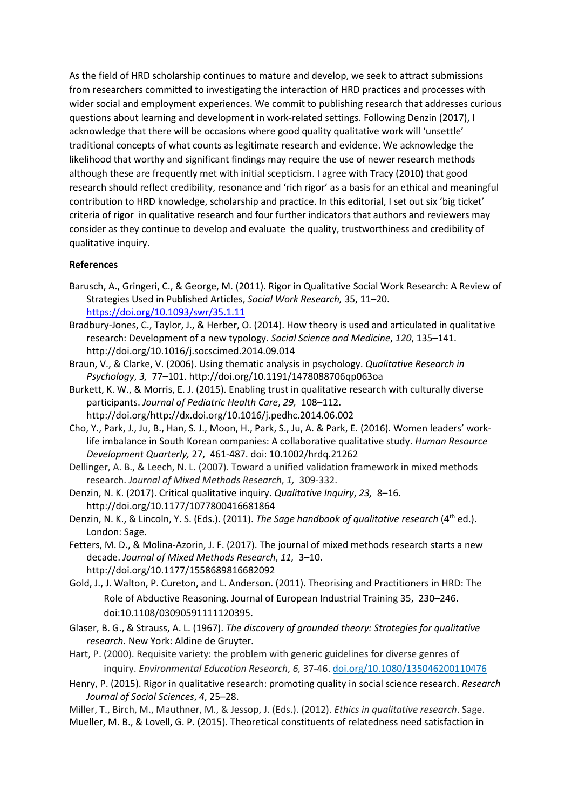As the field of HRD scholarship continues to mature and develop, we seek to attract submissions from researchers committed to investigating the interaction of HRD practices and processes with wider social and employment experiences. We commit to publishing research that addresses curious questions about learning and development in work-related settings. Following Denzin (2017), I acknowledge that there will be occasions where good quality qualitative work will 'unsettle' traditional concepts of what counts as legitimate research and evidence. We acknowledge the likelihood that worthy and significant findings may require the use of newer research methods although these are frequently met with initial scepticism. I agree with Tracy (2010) that good research should reflect credibility, resonance and 'rich rigor' as a basis for an ethical and meaningful contribution to HRD knowledge, scholarship and practice. In this editorial, I set out six 'big ticket' criteria of rigor in qualitative research and four further indicators that authors and reviewers may consider as they continue to develop and evaluate the quality, trustworthiness and credibility of qualitative inquiry.

# **References**

- Barusch, A., Gringeri, C., & George, M. (2011). Rigor in Qualitative Social Work Research: A Review of Strategies Used in Published Articles, *Social Work Research,* 35, 11–20. https://doi.org/10.1093/swr/35.1.11
- Bradbury-Jones, C., Taylor, J., & Herber, O. (2014). How theory is used and articulated in qualitative research: Development of a new typology. *Social Science and Medicine*, *120*, 135–141. http://doi.org/10.1016/j.socscimed.2014.09.014
- Braun, V., & Clarke, V. (2006). Using thematic analysis in psychology. *Qualitative Research in Psychology*, *3,* 77–101. http://doi.org/10.1191/1478088706qp063oa
- Burkett, K. W., & Morris, E. J. (2015). Enabling trust in qualitative research with culturally diverse participants. *Journal of Pediatric Health Care*, *29,* 108–112. http://doi.org/http://dx.doi.org/10.1016/j.pedhc.2014.06.002
- Cho, Y., Park, J., Ju, B., Han, S. J., Moon, H., Park, S., Ju, A. & Park, E. (2016). Women leaders' worklife imbalance in South Korean companies: A collaborative qualitative study. *Human Resource Development Quarterly,* 27, 461-487. doi: 10.1002/hrdq.21262
- Dellinger, A. B., & Leech, N. L. (2007). Toward a unified validation framework in mixed methods research. *Journal of Mixed Methods Research*, *1,* 309-332.
- Denzin, N. K. (2017). Critical qualitative inquiry. *Qualitative Inquiry*, *23,* 8–16. http://doi.org/10.1177/1077800416681864
- Denzin, N. K., & Lincoln, Y. S. (Eds.). (2011). *The Sage handbook of qualitative research* (4th ed.). London: Sage.
- Fetters, M. D., & Molina-Azorin, J. F. (2017). The journal of mixed methods research starts a new decade. *Journal of Mixed Methods Research*, *11,* 3–10. http://doi.org/10.1177/1558689816682092
- Gold, J., J. Walton, P. Cureton, and L. Anderson. (2011). Theorising and Practitioners in HRD: The Role of Abductive Reasoning. Journal of European Industrial Training 35, 230–246. doi:10.1108/03090591111120395.
- Glaser, B. G., & Strauss, A. L. (1967). *The discovery of grounded theory: Strategies for qualitative research.* New York: Aldine de Gruyter.
- Hart, P. (2000). Requisite variety: the problem with generic guidelines for diverse genres of inquiry. *Environmental Education Research*, *6,* 37-46. doi.org/10.1080/135046200110476
- Henry, P. (2015). Rigor in qualitative research: promoting quality in social science research. *Research Journal of Social Sciences*, *4*, 25–28.
- Miller, T., Birch, M., Mauthner, M., & Jessop, J. (Eds.). (2012). *Ethics in qualitative research*. Sage. Mueller, M. B., & Lovell, G. P. (2015). Theoretical constituents of relatedness need satisfaction in